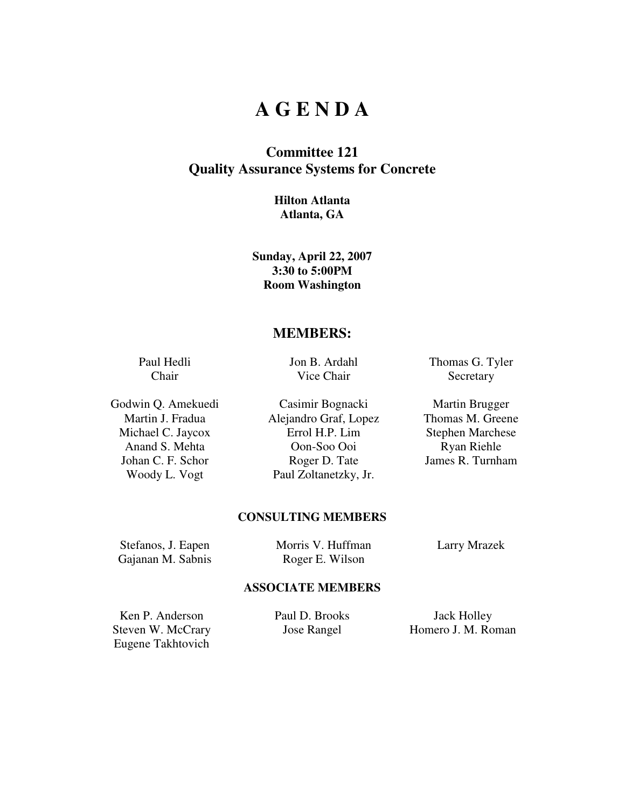## **A G E N D A**

## **Committee 121 Quality Assurance Systems for Concrete**

#### **Hilton Atlanta Atlanta, GA**

**Sunday, April 22, 2007 3:30 to 5:00PM Room Washington** 

### **MEMBERS:**

Paul Hedli Chair

Jon B. Ardahl Vice Chair

Godwin Q. Amekuedi Casimir Bognacki Martin Brugger Martin J. Fradua Alejandro Graf, Lopez Thomas M. Greene Michael C. Jaycox Errol H.P. Lim Stephen Marchese Anand S. Mehta Oon-Soo Ooi Ryan Riehle Johan C. F. Schor Roger D. Tate James R. Turnham Woody L. Vogt Paul Zoltanetzky, Jr.

Thomas G. Tyler **Secretary** 

### **CONSULTING MEMBERS**

Stefanos, J. Eapen Morris V. Huffman Larry Mrazek Gajanan M. Sabnis Roger E. Wilson

#### **ASSOCIATE MEMBERS**

Ken P. Anderson Paul D. Brooks Jack Holley Eugene Takhtovich

Steven W. McCrary **Jose Rangel** Homero J. M. Roman